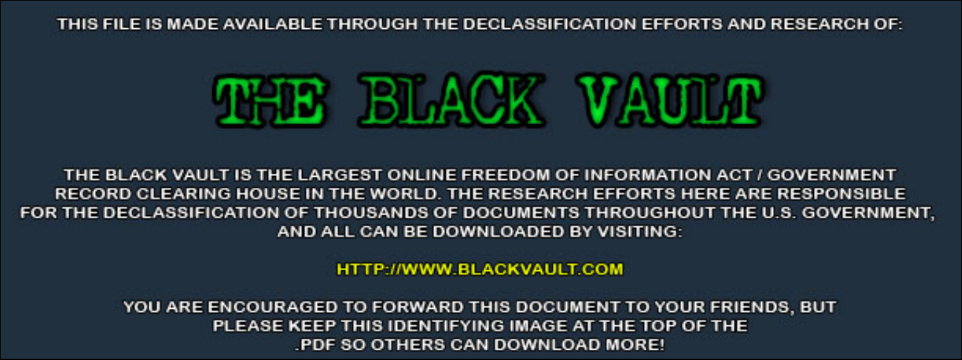THIS FILE IS MADE AVAILABLE THROUGH THE DECLASSIFICATION EFFORTS AND RESEARCH OF:



THE BLACK VAULT IS THE LARGEST ONLINE FREEDOM OF INFORMATION ACT / GOVERNMENT RECORD CLEARING HOUSE IN THE WORLD. THE RESEARCH EFFORTS HERE ARE RESPONSIBLE FOR THE DECLASSIFICATION OF THOUSANDS OF DOCUMENTS THROUGHOUT THE U.S. GOVERNMENT, AND ALL CAN BE DOWNLOADED BY VISITING:

**HTTP://WWW.BLACKVAULT.COM** 

YOU ARE ENCOURAGED TO FORWARD THIS DOCUMENT TO YOUR FRIENDS, BUT PLEASE KEEP THIS IDENTIFYING IMAGE AT THE TOP OF THE PDF SO OTHERS CAN DOWNLOAD MORE!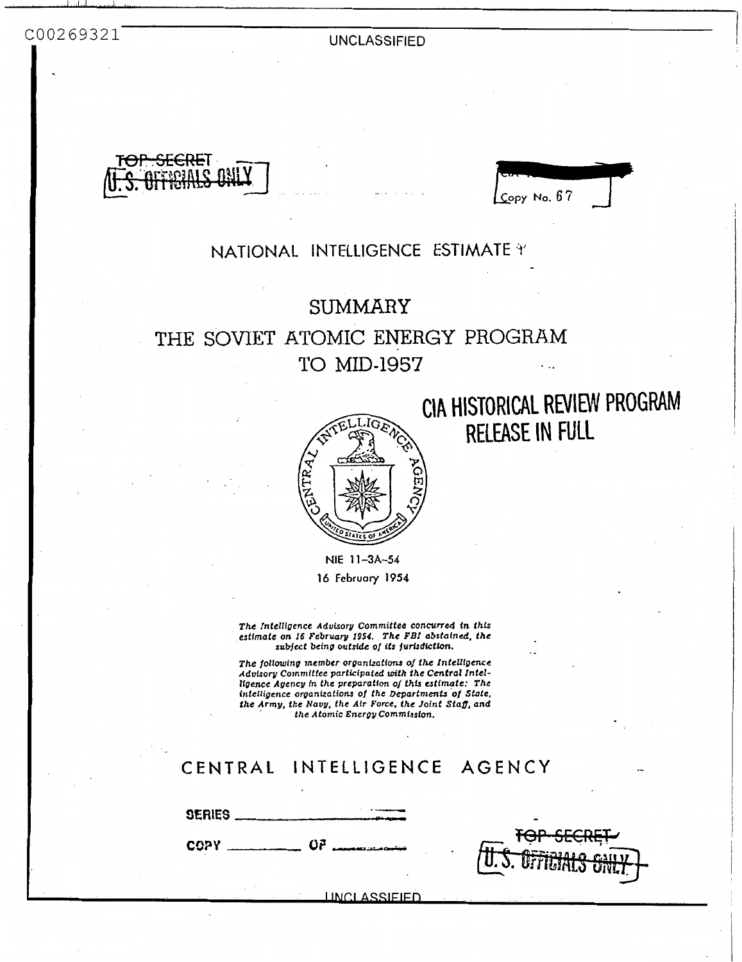**UNCLASSIFIED** 



 $Copy No. 67$ 

# NATIONAL INTELLIGENCE ESTIMATE \*

# **SUMMARY**

# THE SOVIET ATOMIC ENERGY PROGRAM TO MID-1957



CIA HISTORICAL REVIEW PROGRAM RELEASE IN FULL

NIE 11-3A-54 16 February 1954

The Intelligence Advisory Committee concurred in this stimate on 16 February 1954. The FBI abstained, the subject being outside of its jurisdiction.

The following member organizations of the Intelligence Advisory Committee participated with the Central Intelligence Agency in the preparation of this estimate: The intelligence organizations of the Departments of State, the Army, the Navy, the Air Force, the Joint Staff, and<br>the Army, the Alomic Energy Commission.

# CENTRAL INTELLIGENCE AGENCY

SERIES  $COPY$   $OP$   $OP$ 

LINCLASSIEIED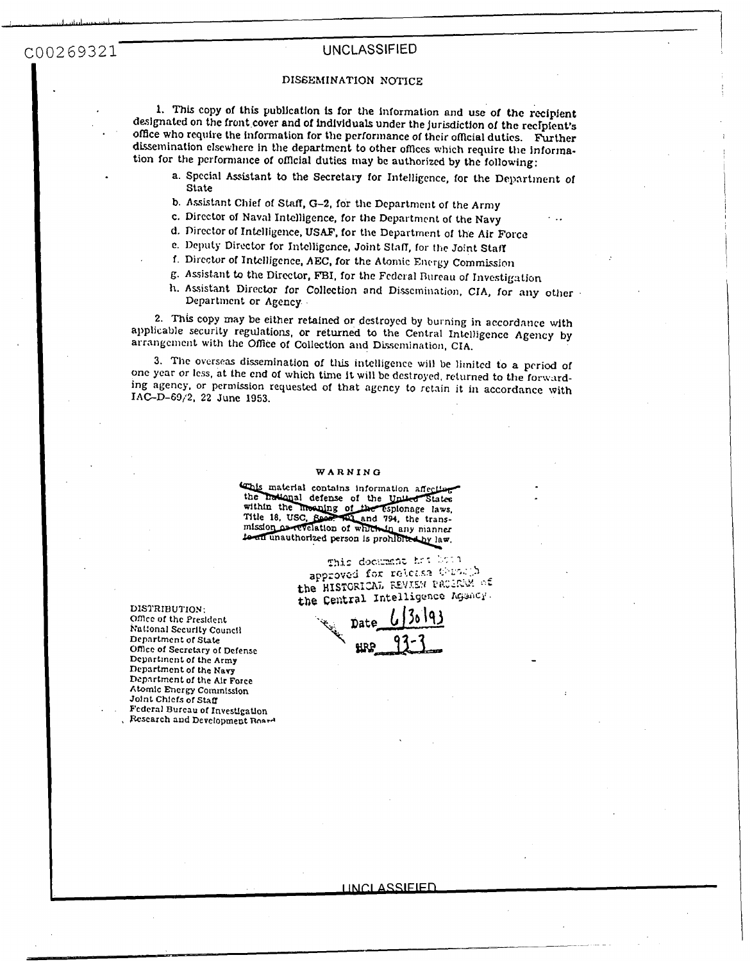### UNCLASSIFIED

#### DISSEMINATION NOTICE

1. This copy of this publication is for the information and use of the recipient designated on the front cover and of individuals under the jurisdiction of the recipient's office who require the information for the performance of their official duties. Further dissemination elsewhere in the department to other offices which require the information for the performance of official duties may be authorized by the following:

- a. Special Assistant to the Secretary for Intelligence, for the Department of State
- b. Assistant Chief of Staff, G-2, for the Department of the Army
- c. Director of Naval Intelligence, for the Department of the Navy
- d. Director of Intelligence, USAF, for the Department of the Air Force
- e. Deputy Director for Intelligence, Joint Staff, for the Joint Staff
- f. Director of Intelligence, AEC, for the Atomic Energy Commission
- g. Assistant to the Director, FBI, for the Federal Bureau of Investigation
- h. Assistant Director for Collection and Dissemination, CIA, for any other Department or Agency.

2. This copy may be either retained or destroyed by burning in accordance with applicable security regulations, or returned to the Central Intelligence Agency by arrangement with the Office of Collection and Dissemination, CIA.

3. The overseas dissemination of this intelligence will be limited to a period of one year or less, at the end of which time it will be destroyed, returned to the forwarding agency, or permission requested of that agency to retain it in accordance with IAC-D-69/2, 22 June 1953.

#### WARNING

This material contains information affecting the hallonal defense of the United States within the moning of the espionage laws,<br>Title 18, USC, Reset and 794, the transmission as revelation of which in any manner to an unauthorized person is prohibited by law.

Dat

This document has been approved for release through the HISTORICAL REVIEW PRODUCE of the Central Intelligence Agency.

DISTRIBUTION:

Office of the President National Security Council Department of State Office of Secretary of Defense Department of the Army Department of the Navy Department of the Air Force Atomic Energy Commission Joint Chiefs of Staff Federal Bureau of Investigation

Research and Development Roard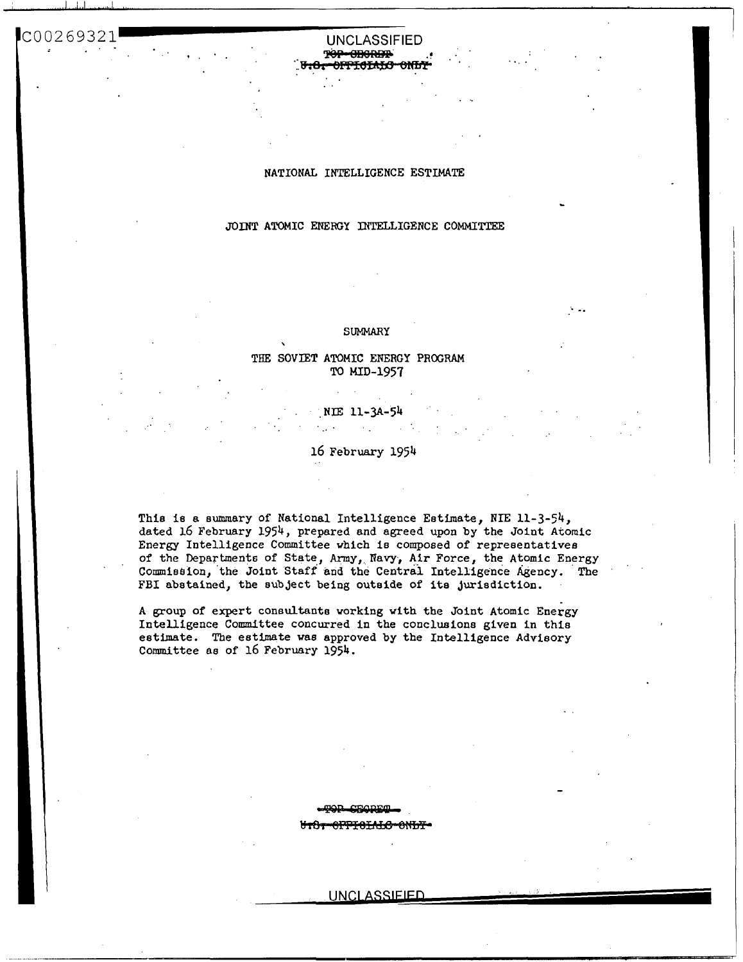#### **UNCLASSIFIED** تممموه سمقور <del>014101110</del>

### NATIONAL INTELLIGENCE ESTIMATE

## JOINT ATOMIC ENERGY INTELLIGENCE COMMITTEE

#### **SUMMARY**

#### THE SOVIET ATOMIC ENERGY PROGRAM TO MID-1957

#### NIE 11-3A-54  $\sim 10^{11}$

#### 16 February 1954

This is a summary of National Intelligence Estimate, NIE 11-3-54, dated 16 February 1954, prepared and agreed upon by the Joint Atomic Energy Intelligence Committee which is composed of representatives of the Departments of State, Army, Navy, Air Force, the Atomic Energy Commission, the Joint Staff and the Central Intelligence Agency. The FBI abstained, the subject being outside of its jurisdiction.

A group of expert consultants working with the Joint Atomic Energy Intelligence Committee concurred in the conclusions given in this estimate. The estimate was approved by the Intelligence Advisory Committee as of 16 February 1954.

<del>-8PPT8TAT*C*-8NT/T</del>

#### UNCLASSIEIED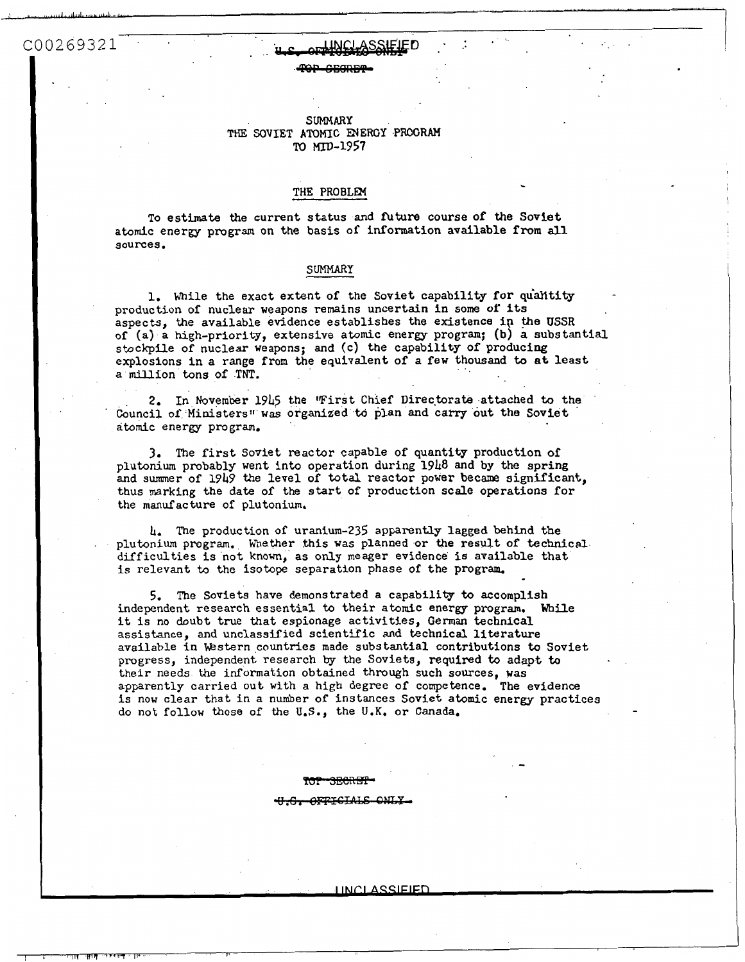# CO0269321 **4.s. or World SSNELF**D . The contract of the contract of the contract of the contract of the contract of the contract of the contract of the contract of the contract of the contract of the contract of the contra

TOP GEORET

#### **suMMmr THE** SOVIET **ATOMIC** ENERGY **.PROGRAM M** MTD-1957

#### **THE PROBLEM**

To esthate the current status and **future** course of the Soviet atomic energy **program** on the basis of information available **from all**  sources .

#### **SrnlMARY**

1. While the exact extent of the Soviet capability for quantity production of nuclear weapons remains uncertain in **some of** Its aspects, the available evidence establishes the existence in the USSR of (a) a high-priority, extensive atomic energy program; **(b) a** substantial stockpile of nuclear weapons; and (c) the capability of producing explosions in a **range** from the equivalent of **a** few thousand to **at** least a million tons **of TNT.** 

2. In November **1945** the "First Chief Direc-brats attached to the Council of Ministers'' **was** organized to plan **and** carry out the Soviet atomic energy program.

**3.** The first Soviet reactor capable of quantity production **of**  plutonium probably went into operation during 1948 and **by** the spring and summer of 1949 the level of total reactor **power** became **significant,**  thus marking the date of the start of production scale operations for the manufacture of plutonium.

**Ir.** The production of uranium-235 apparenuy lagged behind the . plutonium program. Whether this was planned or the result of technical difficulties is not knoun, as **only** meager evidence **is** available that is relevant to the isotope separation phase of the program.

5. The Soviets have demonstrated a capability to accomplish independent research essential to their atomic energy program. While it is no doubt true that espionage activities, German technical assistance, and unclassified scientific and technical literature available in Western countries made substantial contributions to Soviet progress, independent research **by** the Soviets, required to adapt to their needs the infomation obtained through such sources, was apparently carried out with a high degree **of** competence. The evidence is **now** clear that in a number of instances Soviet atomic energy practices do not follow those of the **U.S.,** the U.K. or Canada.

#### **H-G- OFFICIALS ONLY-**

**UNCLASSIEIED**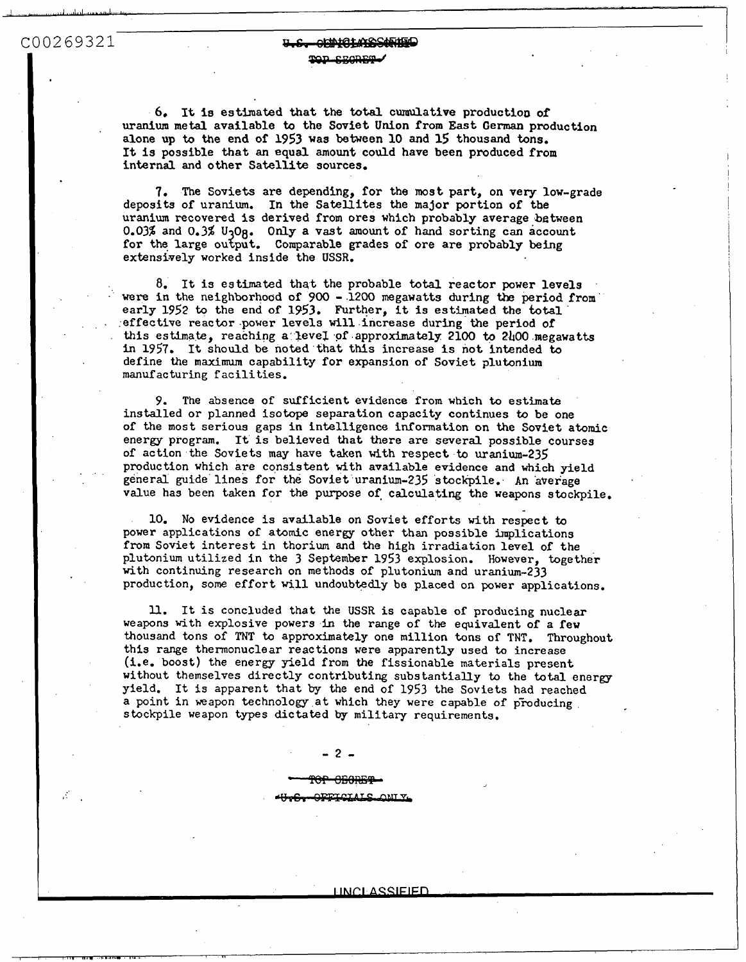COO269321

Æ

# $COO269321$ TOD CROBER

*6,* It **la** estimated that the **total** cumulative production **of uranium** metal available to the Soviet Union **from** East German production alone **up** to the end of 1953 was between 10 and **15** thousand tons. internal and other Satellite sources. It **Is** possible that an **equal amount** could have been produced **from** <sup>1</sup>

**7.** The Soviets are depending, **for** the most part, on very low-grade deposita of uranium. In the Satellites the major portion of the uranium recovered **is** derived from ores which probably average between 0.03% and 0.3% U<sub>3</sub>O<sub>8</sub>. Only a vast amount of hand sorting can account for the large output. Comparable grades of ore are probably being extensively worked inside the USSR.

I

**8.** It is estimated that the probable total reactor power levels were in the neighborhood of *900* - **1200** megawatts during the **period from**  were in the neighborhood of 900 - 1200 megawatts during the period<br>early 1952 to the end of 1953. Further, it is estimated the total effective reactor power levels will increase during the period of this estimate, reaching **a** IeveZ **of** approximately 2100 to 2hOO megawatt in **1957.**  It should **be** noted that tNs increase **is** not intended to define the **maximum** capability for expansion of Soviet plutonium manufacturing facilities.

*9.* The absence of sufficient evidence from which *to* estimate installed or planned isotope separation capacity continues *to* be one **of** the most serious gaps in intelligence information on the Soviet atomic energy program. It is believed that there are several possible courses **of** action the Soviets may have taken with respect **to** uranium-235 production which are consistent with available evidence and which yield general guide lines for the Soviet uranium-235 stockpile. An average value has been taken for the purpose of calculating the weapons stockpile.

power applications **of** atomic energy other than possible implications **from** Soviet interest in thorium and the high irradiation level of the plutonium utilized in the **3** September 1953 explosion. However, together with continuing research on methods of plutonium and uranium-233 production, **some** effort will undoubtedly be placed on power applications. 10. **No** evidence is available on Soviet efforts with respect to

ll. It is concluded that the **USSR** is capable **of** producing nuclear weapons with explosive powers in the range of the equivalent of a few thousand tons of TNT to approximately one million tons **of** TNT. Throughout this range thermonuclear reactions were apparently used **to** increase (Le. boost) the energy yield from the fissionable materials present without themselves directly contributing subs tantially to the total energy yield. It is apparent that **by** the end of 1953 the Soviets had reached a point in weapon technology at which they were capable of producing stockpile weapon types dictated **by** military requirements.

-2-

<del>OP OBORBT</del>

**OFFICIALS ONLY.** 

**LINCLASSIFIED**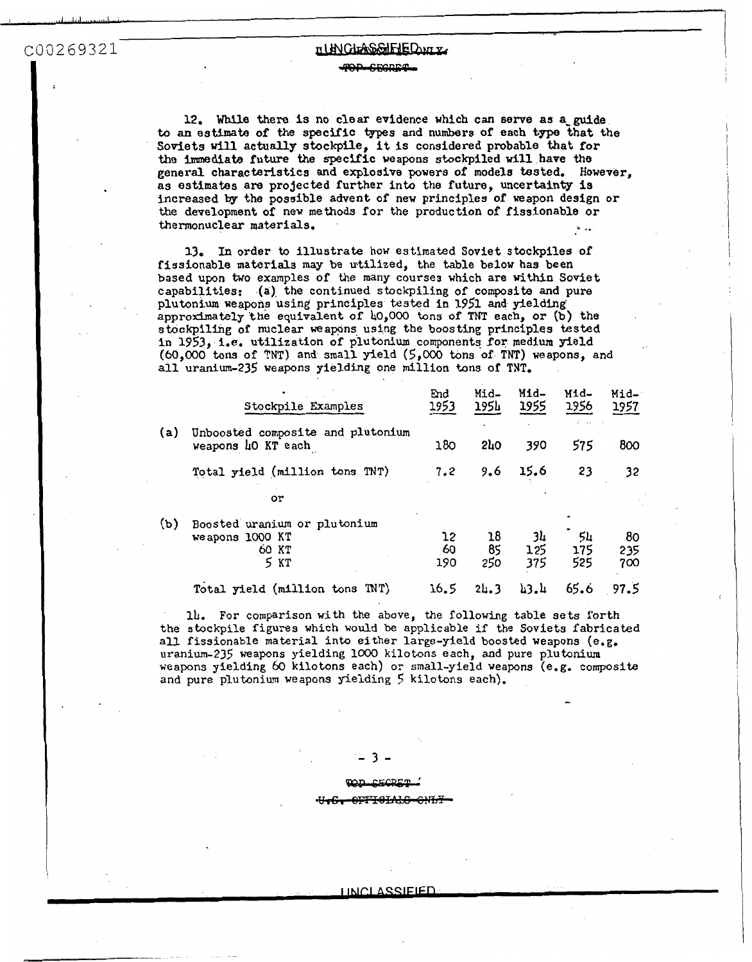**I** 

THE CONSENSE CONTRACT THE CONTRACT THE CONTRACT TO THE CONTRACT TO A PART OF A PART OF A PART OF A PART OF A PART OF A PART OF A PART OF A PART OF A PART OF A PART OF A PART OF A PART OF A PART OF A PART OF A PART OF A PAR 12. **While** there **is** no clear evidence which can serve **as a-guide to an** *estimate* **of** the specific **tppes and** numbers of each type that the Sovfets **will** actually stockpile, it is considered probable that for **the immediate future** the specific weapons stockpiled will have **the**  general characteristics and explosive powers of models tested, However, **as** estimates are projected further into the future, uncertainty **is**  increased **by** the possible advent of new principles of weapon design or the development of new **methods** for the production **of** fissionable or thermonuclear materials.  $\frac{1}{2}$ 

> **13.** In order **to** illustrate how estimated Soviet stockpiles of capabilities: (a) the continued stockpiling of composite and pure fissionable materials **may** be utilized, the table below has been based upon *two* examples of **the** many courses which are within Soviet plutonium weapons using principles tested **in** 1951 and yielding approx3mately the equivalent of *bO,OOO* tons of TNT each, or **(b)** the stockpilhg of nuclear weapons using the boosting principles **tested**  in 1953, **Le.** utilization of plutonium components **for** medium yield *(60,000* tons of **TNT)** and **small** yield (5,OOO tons of **TNT)** weapons, and all uranium-235 weapons yielding one million tons of TNT.

|     | in 1953, i.e. utilization of plutonium components for medium yield<br>(60.000 tons of TNT) and small yield (5,000 tons of TNT) weapons, and<br>all uranium-235 weapons yielding one million tons of TNT. |                 |                 |                  |                  |                  |
|-----|----------------------------------------------------------------------------------------------------------------------------------------------------------------------------------------------------------|-----------------|-----------------|------------------|------------------|------------------|
|     | Stockpile Examples                                                                                                                                                                                       | End<br>1953     | Mid-<br>1954    | Mid-<br>1955     | Mid-<br>1956     | Mid-<br>1957     |
| (a) | Unboosted composite and plutonium<br>weapons 40 KT each                                                                                                                                                  | 180             | 2h <sub>0</sub> | 390              | 575              | 800              |
|     | Total yield (million tons TNT)                                                                                                                                                                           | 7.2             | 9.6             | 15.6             | 23               | 32               |
|     | or                                                                                                                                                                                                       |                 |                 |                  |                  |                  |
| (ъ) | Boosted uranium or plutonium<br>weapons 1000 KT<br>60 KT<br>5 KT                                                                                                                                         | 12<br>60<br>190 | 18<br>85<br>250 | 34<br>125<br>375 | 54<br>175<br>525 | 80<br>235<br>700 |
|     | Total yield (million tons TNT)                                                                                                                                                                           | 16.5            | 24.3            | 43.4             | 65.6             | 97.5             |

14. For comparison with the above, the following table sets forth the stockpile figures which would be applicable **if** the Soviets fabricated **all** fissionable material into either large-yield **boosted** weapons (e. **g.**  uranium-23s weapons yielding **lo00** kilotons each, and pure plutonium **weapons** yielding *60* kilotons each) or small-yield weapons (e.g. composite and pure plutonium weapons yielding *5* kilotons each).

#### . २ -

## **LECRET** <del>opptatalo onl</del>